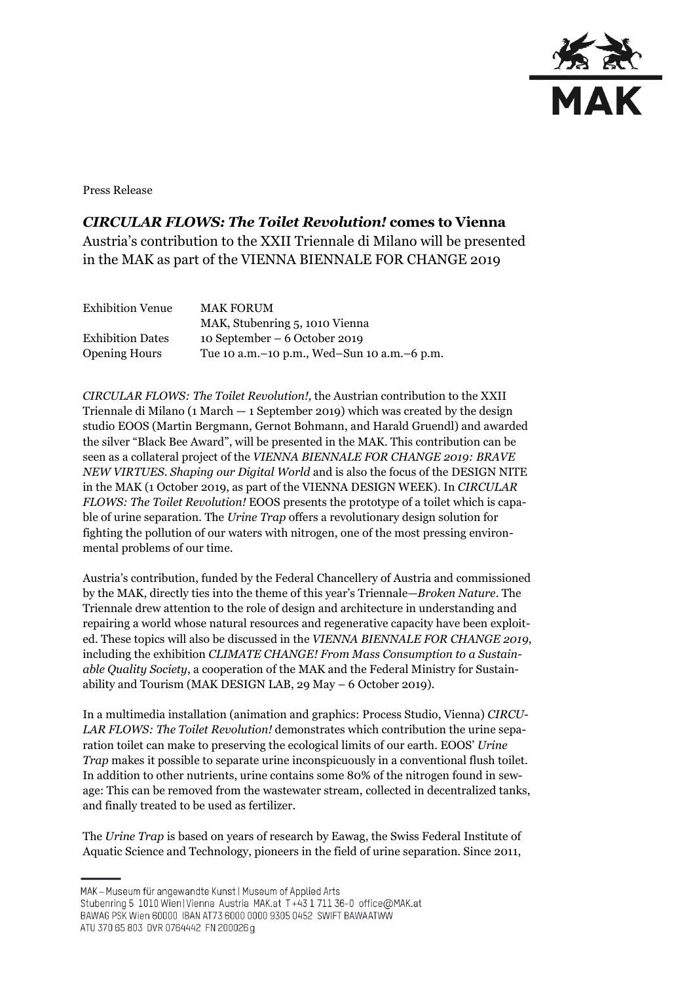

Press Release

## *CIRCULAR FLOWS: The Toilet Revolution!* **comes to Vienna**

Austria's contribution to the XXII Triennale di Milano will be presented in the MAK as part of the VIENNA BIENNALE FOR CHANGE 2019

| <b>Exhibition Venue</b> | <b>MAK FORUM</b>                                |
|-------------------------|-------------------------------------------------|
|                         | MAK, Stubenring 5, 1010 Vienna                  |
| <b>Exhibition Dates</b> | 10 September – $6$ October 2019                 |
| <b>Opening Hours</b>    | Tue 10 a.m. – 10 p.m., Wed–Sun 10 a.m. – 6 p.m. |

*CIRCULAR FLOWS: The Toilet Revolution!,* the Austrian contribution to the XXII Triennale di Milano (1 March  $-$  1 September 2019) which was created by the design studio EOOS (Martin Bergmann, Gernot Bohmann, and Harald Gruendl) and awarded the silver "Black Bee Award", will be presented in the MAK. This contribution can be seen as a collateral project of the *VIENNA BIENNALE FOR CHANGE 2019: BRAVE NEW VIRTUES. Shaping our Digital World* and is also the focus of the DESIGN NITE in the MAK (1 October 2019, as part of the VIENNA DESIGN WEEK). In *CIRCULAR FLOWS: The Toilet Revolution!* EOOS presents the prototype of a toilet which is capable of urine separation*.* The *Urine Trap* offers a revolutionary design solution for fighting the pollution of our waters with nitrogen, one of the most pressing environmental problems of our time.

Austria's contribution, funded by the Federal Chancellery of Austria and commissioned by the MAK, directly ties into the theme of this year's Triennale—*Broken Nature*. The Triennale drew attention to the role of design and architecture in understanding and repairing a world whose natural resources and regenerative capacity have been exploited. These topics will also be discussed in the *VIENNA BIENNALE FOR CHANGE 2019*, including the exhibition *CLIMATE CHANGE! From Mass Consumption to a Sustainable Quality Society*, a cooperation of the MAK and the Federal Ministry for Sustainability and Tourism (MAK DESIGN LAB, 29 May – 6 October 2019).

In a multimedia installation (animation and graphics: Process Studio, Vienna) *CIRCU-LAR FLOWS: The Toilet Revolution!* demonstrates which contribution the urine separation toilet can make to preserving the ecological limits of our earth. EOOS' *Urine Trap* makes it possible to separate urine inconspicuously in a conventional flush toilet. In addition to other nutrients, urine contains some 80% of the nitrogen found in sewage: This can be removed from the wastewater stream, collected in decentralized tanks, and finally treated to be used as fertilizer.

The *Urine Trap* is based on years of research by Eawag, the Swiss Federal Institute of Aquatic Science and Technology, pioneers in the field of urine separation. Since 2011,

MAK - Museum für angewandte Kunst | Museum of Applied Arts

ATU 370 65 803 DVR 0764442 FN 200026 g

Stubenring 5 1010 Wien | Vienna Austria MAK.at T+43 1 711 36-0 office@MAK.at

BAWAG PSK Wien 60000 IBAN AT73 6000 0000 9305 0452 SWIFT BAWAATWW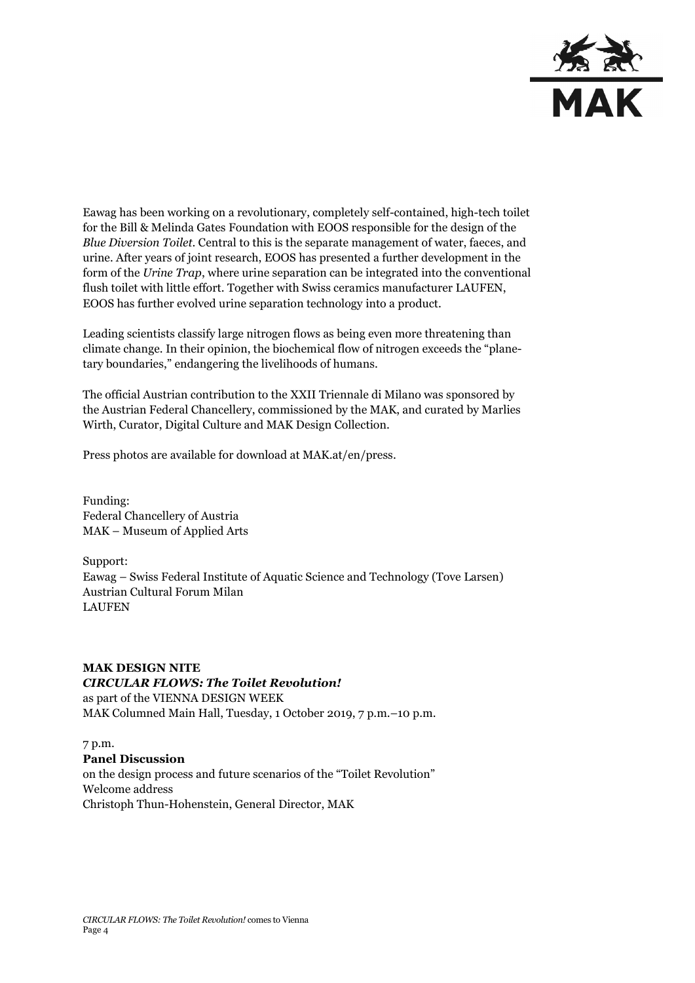

Eawag has been working on a revolutionary, completely self-contained, high-tech toilet for the Bill & Melinda Gates Foundation with EOOS responsible for the design of the *Blue Diversion Toilet*. Central to this is the separate management of water, faeces, and urine. After years of joint research, EOOS has presented a further development in the form of the *Urine Trap*, where urine separation can be integrated into the conventional flush toilet with little effort. Together with Swiss ceramics manufacturer LAUFEN, EOOS has further evolved urine separation technology into a product.

Leading scientists classify large nitrogen flows as being even more threatening than climate change. In their opinion, the biochemical flow of nitrogen exceeds the "planetary boundaries," endangering the livelihoods of humans.

The official Austrian contribution to the XXII Triennale di Milano was sponsored by the Austrian Federal Chancellery, commissioned by the MAK, and curated by Marlies Wirth, Curator, Digital Culture and MAK Design Collection.

Press photos are available for download at MAK.at/en/press.

Funding: Federal Chancellery of Austria MAK – Museum of Applied Arts

Support: Eawag – Swiss Federal Institute of Aquatic Science and Technology (Tove Larsen) Austrian Cultural Forum Milan LAUFEN

**MAK DESIGN NITE** *CIRCULAR FLOWS: The Toilet Revolution!* as part of the VIENNA DESIGN WEEK MAK Columned Main Hall, Tuesday, 1 October 2019, 7 p.m.–10 p.m.

7 p.m. **Panel Discussion** on the design process and future scenarios of the "Toilet Revolution" Welcome address Christoph Thun-Hohenstein, General Director, MAK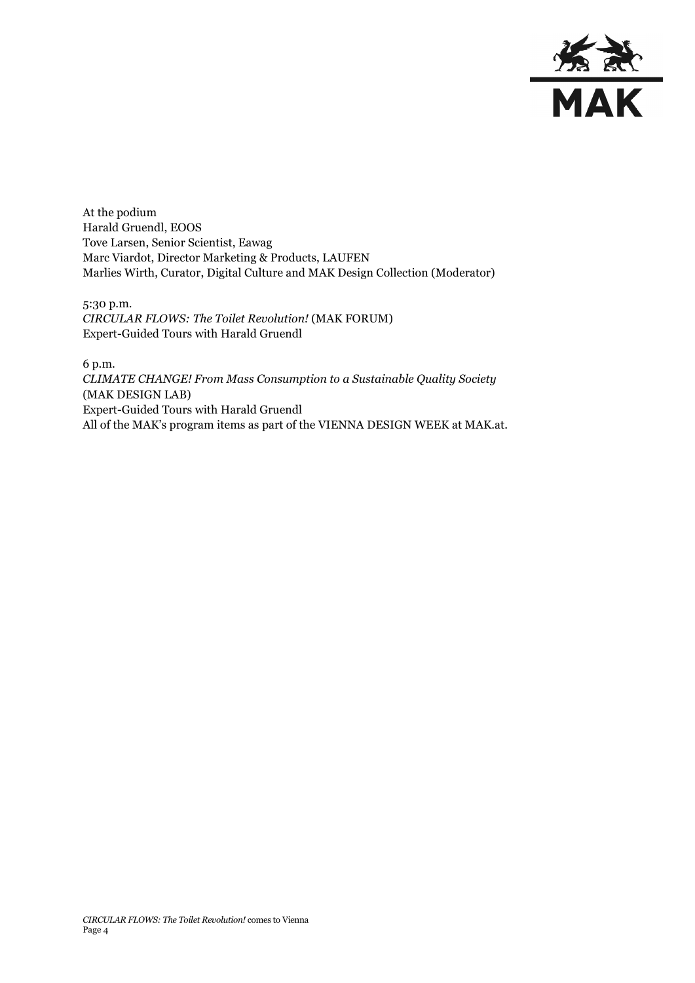

At the podium Harald Gruendl, EOOS Tove Larsen, Senior Scientist, Eawag Marc Viardot, Director Marketing & Products, LAUFEN Marlies Wirth, Curator, Digital Culture and MAK Design Collection (Moderator)

5:30 p.m. *CIRCULAR FLOWS: The Toilet Revolution!* (MAK FORUM) Expert-Guided Tours with Harald Gruendl

6 p.m. *CLIMATE CHANGE! From Mass Consumption to a Sustainable Quality Society* (MAK DESIGN LAB) Expert-Guided Tours with Harald Gruendl All of the MAK's program items as part of the VIENNA DESIGN WEEK at MAK.at.